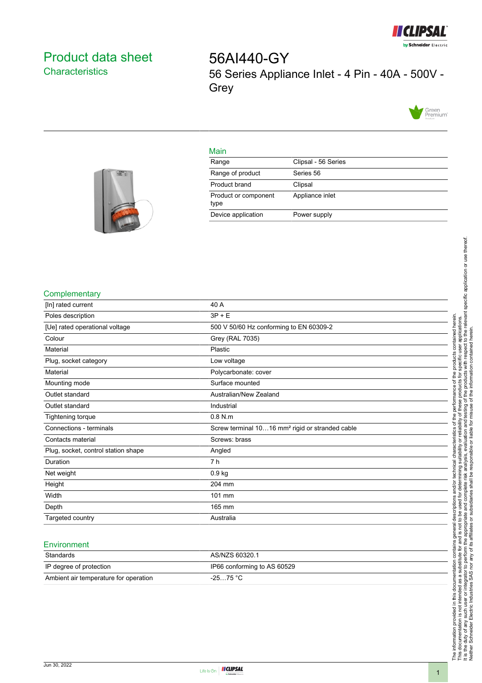

# <span id="page-0-0"></span>Product data sheet **Characteristics**

56AI440-GY 56 Series Appliance Inlet - 4 Pin - 40A - 500V - **Grey** 



### Main

| Range                        | Clipsal - 56 Series |
|------------------------------|---------------------|
| Range of product             | Series 56           |
| Product brand                | Clipsal             |
| Product or component<br>type | Appliance inlet     |
| Device application           | Power supply        |
|                              |                     |



### **Complementary**

| [In] rated current                  | 40 A                                                        |
|-------------------------------------|-------------------------------------------------------------|
| Poles description                   | $3P + E$                                                    |
| [Ue] rated operational voltage      | 500 V 50/60 Hz conforming to EN 60309-2                     |
| Colour                              | Grey (RAL 7035)                                             |
| Material                            | Plastic                                                     |
| Plug, socket category               | Low voltage                                                 |
| Material                            | Polycarbonate: cover                                        |
| Mounting mode                       | Surface mounted                                             |
| Outlet standard                     | Australian/New Zealand                                      |
| Outlet standard                     | Industrial                                                  |
| Tightening torque                   | $0.8$ N.m                                                   |
| Connections - terminals             | Screw terminal 1016 mm <sup>2</sup> rigid or stranded cable |
| Contacts material                   | Screws: brass                                               |
| Plug, socket, control station shape | Angled                                                      |
| Duration                            | 7 h                                                         |
| Net weight                          | 0.9 <sub>kg</sub>                                           |
| Height                              | 204 mm                                                      |
| Width                               | 101 mm                                                      |
| Depth                               | 165 mm                                                      |
| Targeted country                    | Australia                                                   |

#### **Environment**

| Standards                             | AS/NZS 60320.1              |
|---------------------------------------|-----------------------------|
| IP degree of protection               | IP66 conforming to AS 60529 |
| Ambient air temperature for operation | $-2575 °C$                  |